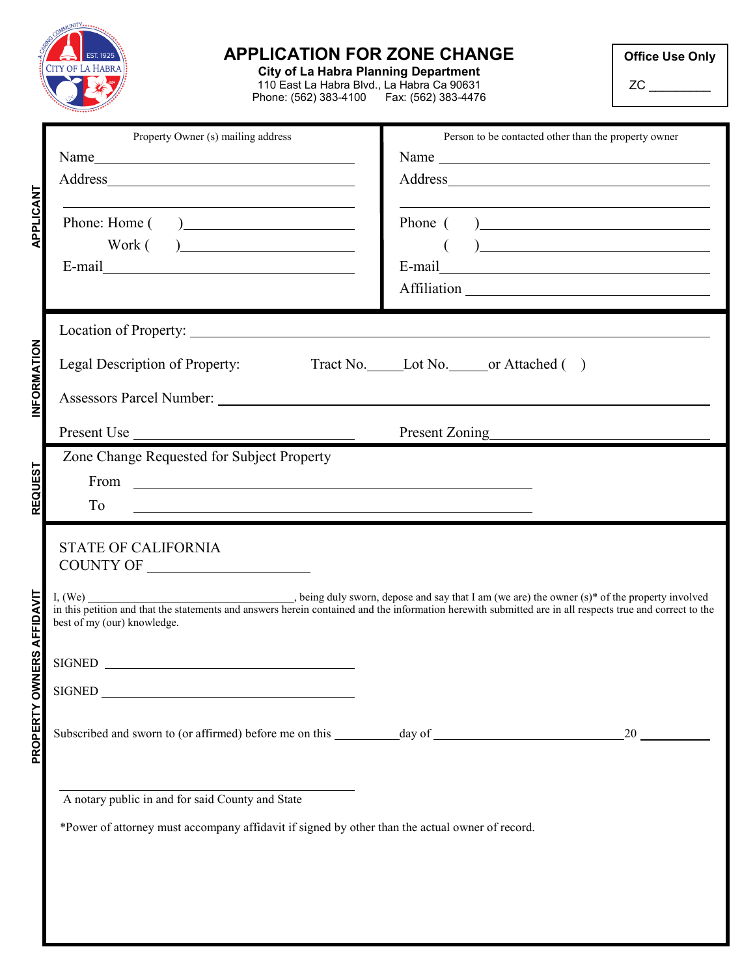|                                  | <b>APPLICATION FOR ZONE CHANGE</b><br><b>CITY OF LA HABRA</b><br><b>City of La Habra Planning Department</b><br>110 East La Habra Blvd., La Habra Ca 90631<br>Phone: (562) 383-4100    Fax: (562) 383-4476                                                                 |                                                                                                                                                                                                                                                                                                                                                                                                                                              | <b>Office Use Only</b><br>ZC |
|----------------------------------|----------------------------------------------------------------------------------------------------------------------------------------------------------------------------------------------------------------------------------------------------------------------------|----------------------------------------------------------------------------------------------------------------------------------------------------------------------------------------------------------------------------------------------------------------------------------------------------------------------------------------------------------------------------------------------------------------------------------------------|------------------------------|
| <b>APPLICANT</b>                 | Property Owner (s) mailing address<br>$Work( ) \underline{\hspace{2cm}}$                                                                                                                                                                                                   | Person to be contacted other than the property owner<br>Phone $($ $)$<br>$\begin{picture}(20,10) \put(0,0){\vector(1,0){100}} \put(15,0){\vector(1,0){100}} \put(15,0){\vector(1,0){100}} \put(15,0){\vector(1,0){100}} \put(15,0){\vector(1,0){100}} \put(15,0){\vector(1,0){100}} \put(15,0){\vector(1,0){100}} \put(15,0){\vector(1,0){100}} \put(15,0){\vector(1,0){100}} \put(15,0){\vector(1,0){100}} \put(15,0){\vector(1,0){100}} \$ |                              |
| INFORMATION                      | Tract No. Lot No. or Attached ()<br>Legal Description of Property:<br>Present Use Present Zoning Present Zoning<br>Zone Change Requested for Subject Property<br>From $\overline{\phantom{a}}$<br>To<br><u> 1980 - Johann Barnett, fransk politik (f. 1980)</u>            |                                                                                                                                                                                                                                                                                                                                                                                                                                              |                              |
| <b>REQUEST</b>                   |                                                                                                                                                                                                                                                                            |                                                                                                                                                                                                                                                                                                                                                                                                                                              |                              |
| <b>PROPERTY OWNERS AFFIDAVIT</b> | <b>STATE OF CALIFORNIA</b><br><b>COUNTY OF</b><br>best of my (our) knowledge.<br>SIGNED<br>SIGNED <b>Example 20</b><br>A notary public in and for said County and State<br>*Power of attorney must accompany affidavit if signed by other than the actual owner of record. |                                                                                                                                                                                                                                                                                                                                                                                                                                              | 20                           |